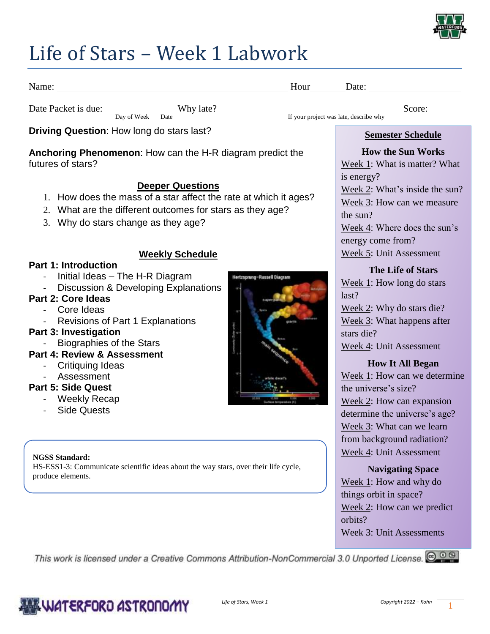

### Life of Stars – Week 1 Labwork

| Name: Name: Name: Name: Name: Name: Name: Name: Name: Name: Name: Name: Name: Name: Name: Name: Name: Name: Name: Name: Name: Name: Name: Name: Name: Name: Name: Name: Name: Name: Name: Name: Name: Name: Name: Name: Name:                                                     |                                                                                                                                                                                                                                             |
|-----------------------------------------------------------------------------------------------------------------------------------------------------------------------------------------------------------------------------------------------------------------------------------|---------------------------------------------------------------------------------------------------------------------------------------------------------------------------------------------------------------------------------------------|
| Date Packet is due: Day of Week Date Why late? <u>Figure 16</u> Score: Score: <u>Score:</u> New project was late, describe why                                                                                                                                                    |                                                                                                                                                                                                                                             |
|                                                                                                                                                                                                                                                                                   |                                                                                                                                                                                                                                             |
| Driving Question: How long do stars last?                                                                                                                                                                                                                                         | <b>Semester Schedule</b>                                                                                                                                                                                                                    |
| Anchoring Phenomenon: How can the H-R diagram predict the<br>futures of stars?<br><b>Deeper Questions</b><br>1. How does the mass of a star affect the rate at which it ages?<br>2. What are the different outcomes for stars as they age?<br>3. Why do stars change as they age? | <b>How the Sun Works</b><br>Week 1: What is matter? What<br>is energy?<br>Week 2: What's inside the sun?<br>Week 3: How can we measure<br>the sun?<br>Week 4: Where does the sun's<br>energy come from?                                     |
| <b>Weekly Schedule</b><br><b>Part 1: Introduction</b><br>Initial Ideas - The H-R Diagram<br>Hertzsprung-Russell Diagram<br>- Discussion & Developing Explanations<br><b>Part 2: Core Ideas</b><br>- Core Ideas                                                                    | Week 5: Unit Assessment<br><b>The Life of Stars</b><br>Week $1$ : How long do stars<br>last?<br>Week 2: Why do stars die?                                                                                                                   |
| - Revisions of Part 1 Explanations<br><b>Part 3: Investigation</b><br><b>Biographies of the Stars</b><br>Part 4: Review & Assessment<br><b>Critiquing Ideas</b><br>- Assessment<br><b>Part 5: Side Quest</b><br>Weekly Recap                                                      | Week 3: What happens after<br>stars die?<br>Week 4: Unit Assessment<br><b>How It All Began</b><br>Week 1: How can we determine<br>the universe's size?<br>Week 2: How can expansion                                                         |
| <b>Side Quests</b><br><b>NGSS Standard:</b><br>HS-ESS1-3: Communicate scientific ideas about the way stars, over their life cycle,<br>produce elements.                                                                                                                           | determine the universe's age?<br>Week 3: What can we learn<br>from background radiation?<br>Week 4: Unit Assessment<br><b>Navigating Space</b><br>Week 1: How and why do<br>things orbit in space?<br>Week 2: How can we predict<br>orbits? |

Week 3: Unit Assessments

This work is licensed under a Creative Commons Attribution-NonCommercial 3.0 Unported License. @ 0 8

### WATERFORD ASTRONOMY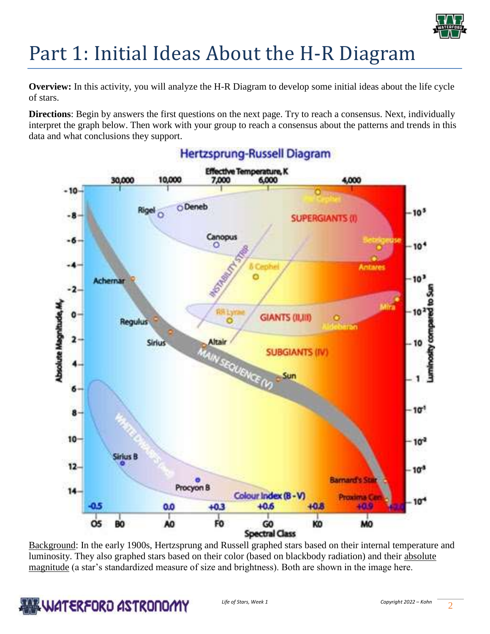

# Part 1: Initial Ideas About the H-R Diagram

**Overview:** In this activity, you will analyze the H-R Diagram to develop some initial ideas about the life cycle of stars.

**Directions**: Begin by answers the first questions on the next page. Try to reach a consensus. Next, individually interpret the graph below. Then work with your group to reach a consensus about the patterns and trends in this data and what conclusions they support.



Background: In the early 1900s, Hertzsprung and Russell graphed stars based on their internal temperature and luminosity. They also graphed stars based on their color (based on blackbody radiation) and their absolute magnitude (a star's standardized measure of size and brightness). Both are shown in the image here.

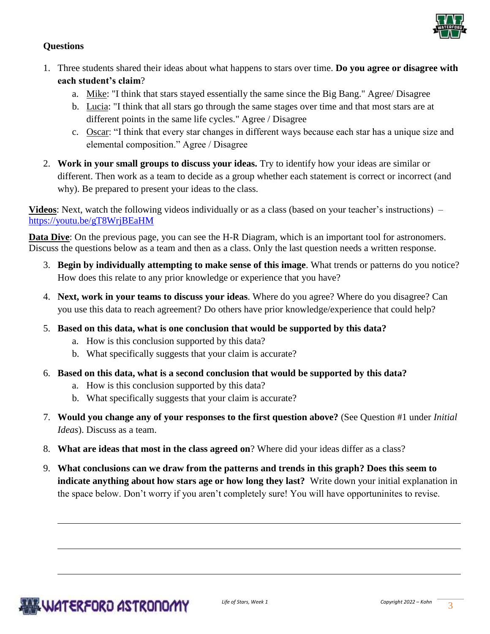

### **Questions**

- 1. Three students shared their ideas about what happens to stars over time. **Do you agree or disagree with each student's claim**?
	- a. Mike: "I think that stars stayed essentially the same since the Big Bang." Agree/ Disagree
	- b. Lucia: "I think that all stars go through the same stages over time and that most stars are at different points in the same life cycles." Agree / Disagree
	- c. Oscar: "I think that every star changes in different ways because each star has a unique size and elemental composition." Agree / Disagree
- 2. **Work in your small groups to discuss your ideas.** Try to identify how your ideas are similar or different. Then work as a team to decide as a group whether each statement is correct or incorrect (and why). Be prepared to present your ideas to the class.

**Videos**: Next, watch the following videos individually or as a class (based on your teacher's instructions) – <https://youtu.be/gT8WrjBEaHM>

**Data Dive**: On the previous page, you can see the H-R Diagram, which is an important tool for astronomers. Discuss the questions below as a team and then as a class. Only the last question needs a written response.

- 3. **Begin by individually attempting to make sense of this image**. What trends or patterns do you notice? How does this relate to any prior knowledge or experience that you have?
- 4. **Next, work in your teams to discuss your ideas**. Where do you agree? Where do you disagree? Can you use this data to reach agreement? Do others have prior knowledge/experience that could help?
- 5. **Based on this data, what is one conclusion that would be supported by this data?** 
	- a. How is this conclusion supported by this data?
	- b. What specifically suggests that your claim is accurate?
- 6. **Based on this data, what is a second conclusion that would be supported by this data?** 
	- a. How is this conclusion supported by this data?
	- b. What specifically suggests that your claim is accurate?
- 7. **Would you change any of your responses to the first question above?** (See Question #1 under *Initial Ideas*). Discuss as a team.
- 8. **What are ideas that most in the class agreed on**? Where did your ideas differ as a class?
- 9. **What conclusions can we draw from the patterns and trends in this graph? Does this seem to indicate anything about how stars age or how long they last?** Write down your initial explanation in the space below. Don't worry if you aren't completely sure! You will have opportuninites to revise.

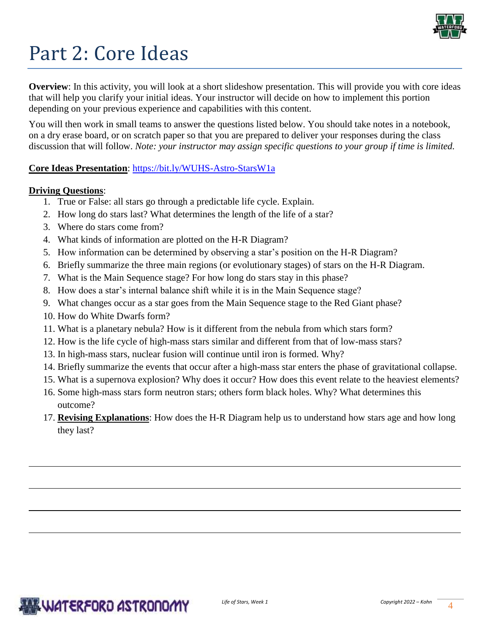

# Part 2: Core Ideas

**Overview**: In this activity, you will look at a short slideshow presentation. This will provide you with core ideas that will help you clarify your initial ideas. Your instructor will decide on how to implement this portion depending on your previous experience and capabilities with this content.

You will then work in small teams to answer the questions listed below. You should take notes in a notebook, on a dry erase board, or on scratch paper so that you are prepared to deliver your responses during the class discussion that will follow. *Note: your instructor may assign specific questions to your group if time is limited.* 

### **Core Ideas Presentation**: [https://bit.ly/WUHS-Astro-StarsW1a](https://bit.ly/WUHS-Astro-StarsW1)

### **Driving Questions**:

- 1. True or False: all stars go through a predictable life cycle. Explain.
- 2. How long do stars last? What determines the length of the life of a star?
- 3. Where do stars come from?
- 4. What kinds of information are plotted on the H-R Diagram?
- 5. How information can be determined by observing a star's position on the H-R Diagram?
- 6. Briefly summarize the three main regions (or evolutionary stages) of stars on the H-R Diagram.
- 7. What is the Main Sequence stage? For how long do stars stay in this phase?
- 8. How does a star's internal balance shift while it is in the Main Sequence stage?
- 9. What changes occur as a star goes from the Main Sequence stage to the Red Giant phase?
- 10. How do White Dwarfs form?
- 11. What is a planetary nebula? How is it different from the nebula from which stars form?
- 12. How is the life cycle of high-mass stars similar and different from that of low-mass stars?
- 13. In high-mass stars, nuclear fusion will continue until iron is formed. Why?
- 14. Briefly summarize the events that occur after a high-mass star enters the phase of gravitational collapse.
- 15. What is a supernova explosion? Why does it occur? How does this event relate to the heaviest elements?
- 16. Some high-mass stars form neutron stars; others form black holes. Why? What determines this outcome?
- 17. **Revising Explanations**: How does the H-R Diagram help us to understand how stars age and how long they last?

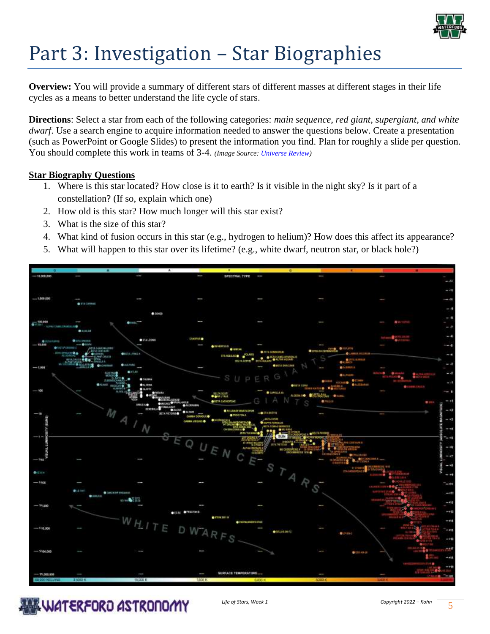

# Part 3: Investigation – Star Biographies

**Overview:** You will provide a summary of different stars of different masses at different stages in their life cycles as a means to better understand the life cycle of stars.

**Directions**: Select a star from each of the following categories: *main sequence, red giant, supergiant, and white dwarf*. Use a search engine to acquire information needed to answer the questions below. Create a presentation (such as PowerPoint or Google Slides) to present the information you find. Plan for roughly a slide per question. You should complete this work in teams of 3-4. *(Image Source: [Universe Review\)](https://universe-review.ca/I08-01-HRdiagram1.jpg)*

#### **Star Biography Questions**

- 1. Where is this star located? How close is it to earth? Is it visible in the night sky? Is it part of a constellation? (If so, explain which one)
- 2. How old is this star? How much longer will this star exist?
- 3. What is the size of this star?
- 4. What kind of fusion occurs in this star (e.g., hydrogen to helium)? How does this affect its appearance?
- 5. What will happen to this star over its lifetime? (e.g., white dwarf, neutron star, or black hole?)



**ALL WATERFORD ASTRONOMY**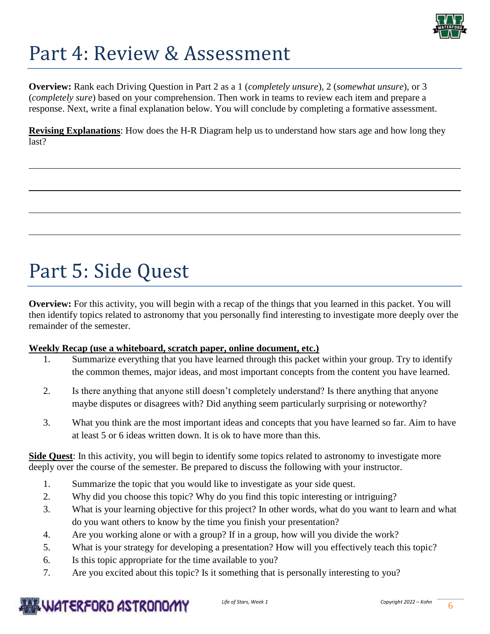

# Part 4: Review & Assessment

**Overview:** Rank each Driving Question in Part 2 as a 1 (*completely unsure*), 2 (*somewhat unsure*), or 3 (*completely sure*) based on your comprehension. Then work in teams to review each item and prepare a response. Next, write a final explanation below. You will conclude by completing a formative assessment.

**Revising Explanations**: How does the H-R Diagram help us to understand how stars age and how long they last?

# Part 5: Side Quest

**Overview:** For this activity, you will begin with a recap of the things that you learned in this packet. You will then identify topics related to astronomy that you personally find interesting to investigate more deeply over the remainder of the semester.

### **Weekly Recap (use a whiteboard, scratch paper, online document, etc.)**

- 1. Summarize everything that you have learned through this packet within your group. Try to identify the common themes, major ideas, and most important concepts from the content you have learned.
- 2. Is there anything that anyone still doesn't completely understand? Is there anything that anyone maybe disputes or disagrees with? Did anything seem particularly surprising or noteworthy?
- 3. What you think are the most important ideas and concepts that you have learned so far. Aim to have at least 5 or 6 ideas written down. It is ok to have more than this.

**Side Quest**: In this activity, you will begin to identify some topics related to astronomy to investigate more deeply over the course of the semester. Be prepared to discuss the following with your instructor.

- 1. Summarize the topic that you would like to investigate as your side quest.
- 2. Why did you choose this topic? Why do you find this topic interesting or intriguing?
- 3. What is your learning objective for this project? In other words, what do you want to learn and what do you want others to know by the time you finish your presentation?
- 4. Are you working alone or with a group? If in a group, how will you divide the work?
- 5. What is your strategy for developing a presentation? How will you effectively teach this topic?
- 6. Is this topic appropriate for the time available to you?
- 7. Are you excited about this topic? Is it something that is personally interesting to you?

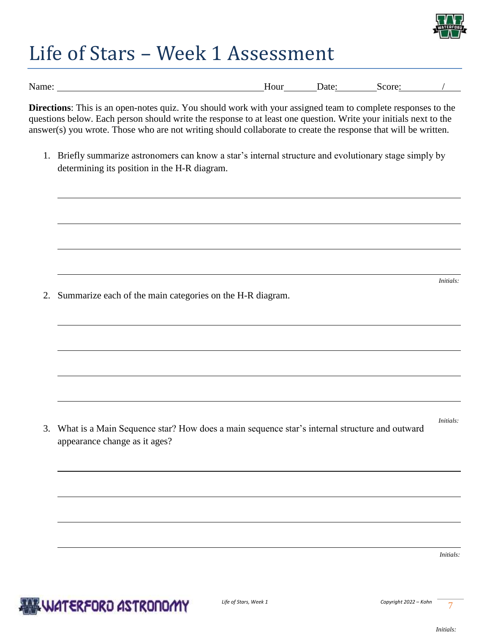

# Life of Stars – Week 1 Assessment

| Name. | Hour | Jate | .core <sup>.</sup><br>`` |  |
|-------|------|------|--------------------------|--|

**Directions**: This is an open-notes quiz. You should work with your assigned team to complete responses to the questions below. Each person should write the response to at least one question. Write your initials next to the answer(s) you wrote. Those who are not writing should collaborate to create the response that will be written.

1. Briefly summarize astronomers can know a star's internal structure and evolutionary stage simply by determining its position in the H-R diagram.

2. Summarize each of the main categories on the H-R diagram.

3. What is a Main Sequence star? How does a main sequence star's internal structure and outward appearance change as it ages?

*Initials:* 

*Initials:* 

*Initials:*